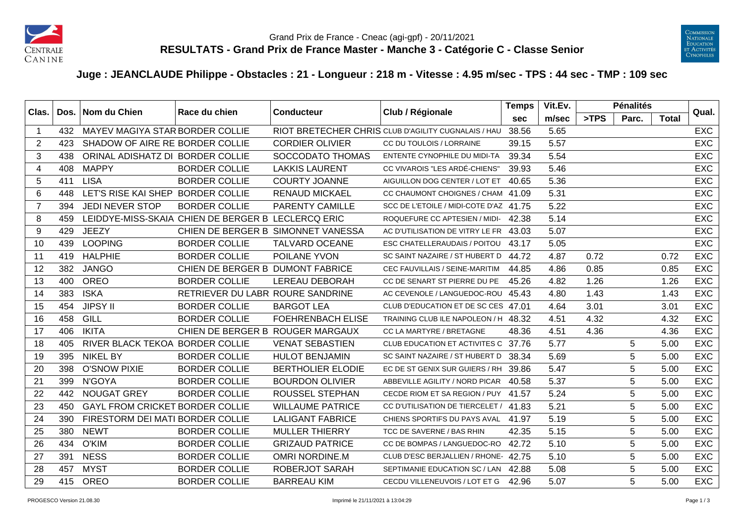



## **Juge : JEANCLAUDE Philippe - Obstacles : 21 - Longueur : 218 m - Vitesse : 4.95 m/sec - TPS : 44 sec - TMP : 109 sec**

|                         | Clas.<br>Dos. | Nom du Chien                           |                                                    | Club / Régionale<br>Race du chien<br><b>Conducteur</b> |                                                     | <b>Temps</b> | Vit.Ev. |      | <b>Pénalités</b> |              | Qual.      |
|-------------------------|---------------|----------------------------------------|----------------------------------------------------|--------------------------------------------------------|-----------------------------------------------------|--------------|---------|------|------------------|--------------|------------|
|                         |               |                                        |                                                    |                                                        |                                                     | <b>sec</b>   | m/sec   | >TPS | Parc.            | <b>Total</b> |            |
| $\overline{\mathbf{1}}$ | 432           | MAYEV MAGIYA STAR BORDER COLLIE        |                                                    |                                                        | RIOT BRETECHER CHRIS CLUB D'AGILITY CUGNALAIS / HAU | 38.56        | 5.65    |      |                  |              | <b>EXC</b> |
| 2                       | 423           | SHADOW OF AIRE RE BORDER COLLIE        |                                                    | <b>CORDIER OLIVIER</b>                                 | CC DU TOULOIS / LORRAINE                            | 39.15        | 5.57    |      |                  |              | <b>EXC</b> |
| 3                       | 438           | ORINAL ADISHATZ DI BORDER COLLIE       |                                                    | SOCCODATO THOMAS                                       | <b>ENTENTE CYNOPHILE DU MIDI-TA</b>                 | 39.34        | 5.54    |      |                  |              | <b>EXC</b> |
| $\overline{4}$          | 408           | <b>MAPPY</b>                           | <b>BORDER COLLIE</b>                               | <b>LAKKIS LAURENT</b>                                  | CC VIVAROIS "LES ARDÉ-CHIENS"                       | 39.93        | 5.46    |      |                  |              | <b>EXC</b> |
| 5                       | 411           | <b>LISA</b>                            | <b>BORDER COLLIE</b>                               | <b>COURTY JOANNE</b>                                   | AIGUILLON DOG CENTER / LOT ET                       | 40.65        | 5.36    |      |                  |              | <b>EXC</b> |
| 6                       | 448           | LET'S RISE KAI SHEP BORDER COLLIE      |                                                    | <b>RENAUD MICKAEL</b>                                  | CC CHAUMONT CHOIGNES / CHAM 41.09                   |              | 5.31    |      |                  |              | <b>EXC</b> |
| $\overline{7}$          | 394           | <b>JEDI NEVER STOP</b>                 | <b>BORDER COLLIE</b>                               | <b>PARENTY CAMILLE</b>                                 | SCC DE L'ETOILE / MIDI-COTE D'AZ 41.75              |              | 5.22    |      |                  |              | <b>EXC</b> |
| 8                       | 459           |                                        | LEIDDYE-MISS-SKAIA CHIEN DE BERGER B LECLERCQ ERIC |                                                        | ROQUEFURE CC APTESIEN / MIDI-                       | 42.38        | 5.14    |      |                  |              | <b>EXC</b> |
| 9                       | 429           | <b>JEEZY</b>                           |                                                    | CHIEN DE BERGER B SIMONNET VANESSA                     | AC D'UTILISATION DE VITRY LE FR 43.03               |              | 5.07    |      |                  |              | EXC        |
| 10                      | 439           | <b>LOOPING</b>                         | <b>BORDER COLLIE</b>                               | <b>TALVARD OCEANE</b>                                  | <b>ESC CHATELLERAUDAIS / POITOU</b>                 | 43.17        | 5.05    |      |                  |              | EXC        |
| 11                      | 419           | <b>HALPHIE</b>                         | <b>BORDER COLLIE</b>                               | POILANE YVON                                           | SC SAINT NAZAIRE / ST HUBERT D 44.72                |              | 4.87    | 0.72 |                  | 0.72         | <b>EXC</b> |
| 12                      | 382           | <b>JANGO</b>                           | CHIEN DE BERGER B DUMONT FABRICE                   |                                                        | <b>CEC FAUVILLAIS / SEINE-MARITIM</b>               | 44.85        | 4.86    | 0.85 |                  | 0.85         | <b>EXC</b> |
| 13                      | 400           | <b>OREO</b>                            | <b>BORDER COLLIE</b>                               | <b>LEREAU DEBORAH</b>                                  | CC DE SENART ST PIERRE DU PE                        | 45.26        | 4.82    | 1.26 |                  | 1.26         | <b>EXC</b> |
| 14                      | 383           | <b>ISKA</b>                            | RETRIEVER DU LABR ROURE SANDRINE                   |                                                        | AC CEVENOLE / LANGUEDOC-ROU                         | 45.43        | 4.80    | 1.43 |                  | 1.43         | <b>EXC</b> |
| 15                      | 454           | <b>JIPSY II</b>                        | <b>BORDER COLLIE</b>                               | <b>BARGOT LEA</b>                                      | CLUB D'EDUCATION ET DE SC CES 47.01                 |              | 4.64    | 3.01 |                  | 3.01         | <b>EXC</b> |
| 16                      | 458           | GILL                                   | <b>BORDER COLLIE</b>                               | <b>FOEHRENBACH ELISE</b>                               | TRAINING CLUB ILE NAPOLEON / H 48.32                |              | 4.51    | 4.32 |                  | 4.32         | <b>EXC</b> |
| 17                      | 406           | <b>IKITA</b>                           | CHIEN DE BERGER B ROUGER MARGAUX                   |                                                        | CC LA MARTYRE / BRETAGNE                            | 48.36        | 4.51    | 4.36 |                  | 4.36         | EXC        |
| 18                      | 405           | RIVER BLACK TEKOA BORDER COLLIE        |                                                    | <b>VENAT SEBASTIEN</b>                                 | CLUB EDUCATION ET ACTIVITES C 37.76                 |              | 5.77    |      | 5                | 5.00         | <b>EXC</b> |
| 19                      | 395           | <b>NIKEL BY</b>                        | <b>BORDER COLLIE</b>                               | <b>HULOT BENJAMIN</b>                                  | SC SAINT NAZAIRE / ST HUBERT D                      | 38.34        | 5.69    |      | 5                | 5.00         | <b>EXC</b> |
| 20                      | 398           | <b>O'SNOW PIXIE</b>                    | <b>BORDER COLLIE</b>                               | <b>BERTHOLIER ELODIE</b>                               | EC DE ST GENIX SUR GUIERS / RH                      | 39.86        | 5.47    |      | 5                | 5.00         | <b>EXC</b> |
| 21                      | 399           | N'GOYA                                 | <b>BORDER COLLIE</b>                               | <b>BOURDON OLIVIER</b>                                 | ABBEVILLE AGILITY / NORD PICAR                      | 40.58        | 5.37    |      | 5                | 5.00         | EXC        |
| 22                      | 442           | <b>NOUGAT GREY</b>                     | <b>BORDER COLLIE</b>                               | ROUSSEL STEPHAN                                        | CECDE RIOM ET SA REGION / PUY 41.57                 |              | 5.24    |      | 5                | 5.00         | <b>EXC</b> |
| 23                      | 450           | <b>GAYL FROM CRICKET BORDER COLLIE</b> |                                                    | <b>WILLAUME PATRICE</b>                                | CC D'UTILISATION DE TIERCELET / 41.83               |              | 5.21    |      | 5                | 5.00         | <b>EXC</b> |
| 24                      | 390           | FIRESTORM DEI MATI BORDER COLLIE       |                                                    | <b>LALIGANT FABRICE</b>                                | CHIENS SPORTIFS DU PAYS AVAL                        | 41.97        | 5.19    |      | 5                | 5.00         | <b>EXC</b> |
| 25                      | 380           | <b>NEWT</b>                            | <b>BORDER COLLIE</b>                               | <b>MULLER THIERRY</b>                                  | TCC DE SAVERNE / BAS RHIN                           | 42.35        | 5.15    |      | 5                | 5.00         | <b>EXC</b> |
| 26                      | 434           | O'KIM                                  | <b>BORDER COLLIE</b>                               | <b>GRIZAUD PATRICE</b>                                 | CC DE BOMPAS / LANGUEDOC-RO                         | 42.72        | 5.10    |      | 5                | 5.00         | <b>EXC</b> |
| 27                      | 391           | <b>NESS</b>                            | <b>BORDER COLLIE</b>                               | <b>OMRI NORDINE.M</b>                                  | CLUB D'ESC BERJALLIEN / RHONE- 42.75                |              | 5.10    |      | 5                | 5.00         | <b>EXC</b> |
| 28                      | 457           | <b>MYST</b>                            | <b>BORDER COLLIE</b>                               | ROBERJOT SARAH                                         | SEPTIMANIE EDUCATION SC / LAN 42.88                 |              | 5.08    |      | 5                | 5.00         | <b>EXC</b> |
| 29                      | 415           | OREO                                   | <b>BORDER COLLIE</b>                               | <b>BARREAU KIM</b>                                     | CECDU VILLENEUVOIS / LOT ET G                       | 42.96        | 5.07    |      | 5                | 5.00         | <b>EXC</b> |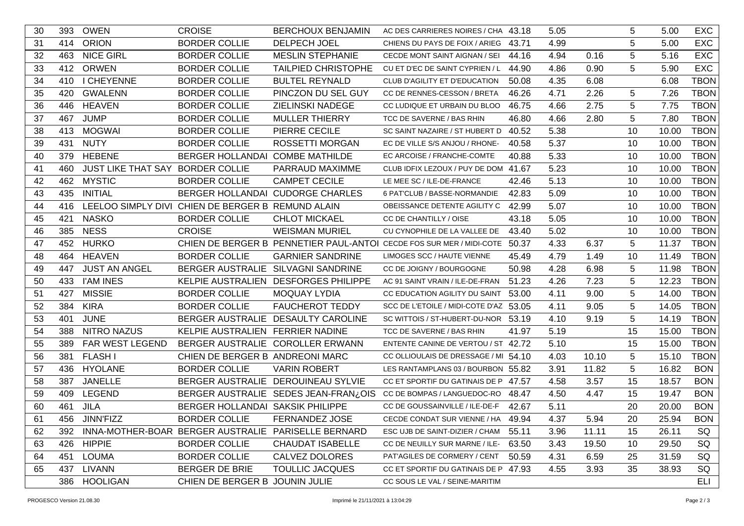| 30 | 393 | <b>OWEN</b>                      | <b>CROISE</b>                                     | <b>BERCHOUX BENJAMIN</b>                                | AC DES CARRIERES NOIRES / CHA 43.18                                        |       | 5.05 |       | 5  | 5.00  | <b>EXC</b>  |
|----|-----|----------------------------------|---------------------------------------------------|---------------------------------------------------------|----------------------------------------------------------------------------|-------|------|-------|----|-------|-------------|
| 31 | 414 | <b>ORION</b>                     | <b>BORDER COLLIE</b>                              | DELPECH JOEL                                            | CHIENS DU PAYS DE FOIX / ARIEG                                             | 43.71 | 4.99 |       | 5  | 5.00  | <b>EXC</b>  |
| 32 | 463 | <b>NICE GIRL</b>                 | <b>BORDER COLLIE</b>                              | <b>MESLIN STEPHANIE</b>                                 | CECDE MONT SAINT AIGNAN / SEI                                              | 44.16 | 4.94 | 0.16  | 5  | 5.16  | <b>EXC</b>  |
| 33 | 412 | <b>ORWEN</b>                     | <b>BORDER COLLIE</b>                              | <b>TAILPIED CHRISTOPHE</b>                              | CU ET D'EC DE SAINT CYPRIEN / L                                            | 44.90 | 4.86 | 0.90  | 5  | 5.90  | <b>EXC</b>  |
| 34 | 410 | I CHEYENNE                       | <b>BORDER COLLIE</b>                              | <b>BULTEL REYNALD</b>                                   | CLUB D'AGILITY ET D'EDUCATION                                              | 50.08 | 4.35 | 6.08  |    | 6.08  | <b>TBON</b> |
| 35 | 420 | <b>GWALENN</b>                   | <b>BORDER COLLIE</b>                              | PINCZON DU SEL GUY                                      | CC DE RENNES-CESSON / BRETA                                                | 46.26 | 4.71 | 2.26  | 5  | 7.26  | <b>TBON</b> |
| 36 | 446 | <b>HEAVEN</b>                    | <b>BORDER COLLIE</b>                              | ZIELINSKI NADEGE                                        | CC LUDIQUE ET URBAIN DU BLOO                                               | 46.75 | 4.66 | 2.75  | 5  | 7.75  | <b>TBON</b> |
| 37 | 467 | <b>JUMP</b>                      | <b>BORDER COLLIE</b>                              | <b>MULLER THIERRY</b>                                   | TCC DE SAVERNE / BAS RHIN                                                  | 46.80 | 4.66 | 2.80  | 5  | 7.80  | <b>TBON</b> |
| 38 | 413 | <b>MOGWAI</b>                    | <b>BORDER COLLIE</b>                              | PIERRE CECILE                                           | SC SAINT NAZAIRE / ST HUBERT D                                             | 40.52 | 5.38 |       | 10 | 10.00 | <b>TBON</b> |
| 39 | 431 | <b>NUTY</b>                      | <b>BORDER COLLIE</b>                              | <b>ROSSETTI MORGAN</b>                                  | EC DE VILLE S/S ANJOU / RHONE-                                             | 40.58 | 5.37 |       | 10 | 10.00 | <b>TBON</b> |
| 40 | 379 | <b>HEBENE</b>                    | BERGER HOLLANDAI COMBE MATHILDE                   |                                                         | EC ARCOISE / FRANCHE-COMTE                                                 | 40.88 | 5.33 |       | 10 | 10.00 | <b>TBON</b> |
| 41 | 460 | JUST LIKE THAT SAY BORDER COLLIE |                                                   | PARRAUD MAXIMME                                         | CLUB IDFIX LEZOUX / PUY DE DOM 41.67                                       |       | 5.23 |       | 10 | 10.00 | <b>TBON</b> |
| 42 | 462 | <b>MYSTIC</b>                    | <b>BORDER COLLIE</b>                              | <b>CAMPET CECILE</b>                                    | LE MEE SC / ILE-DE-FRANCE                                                  | 42.46 | 5.13 |       | 10 | 10.00 | <b>TBON</b> |
| 43 | 435 | <b>INITIAL</b>                   |                                                   | BERGER HOLLANDAI CUDORGE CHARLES                        | 6 PAT'CLUB / BASSE-NORMANDIE                                               | 42.83 | 5.09 |       | 10 | 10.00 | <b>TBON</b> |
| 44 | 416 |                                  | LEELOO SIMPLY DIVI CHIEN DE BERGER B REMUND ALAIN |                                                         | OBEISSANCE DETENTE AGILITY C                                               | 42.99 | 5.07 |       | 10 | 10.00 | <b>TBON</b> |
| 45 | 421 | <b>NASKO</b>                     | <b>BORDER COLLIE</b>                              | <b>CHLOT MICKAEL</b>                                    | CC DE CHANTILLY / OISE                                                     | 43.18 | 5.05 |       | 10 | 10.00 | <b>TBON</b> |
| 46 | 385 | <b>NESS</b>                      | <b>CROISE</b>                                     | <b>WEISMAN MURIEL</b>                                   | CU CYNOPHILE DE LA VALLEE DE                                               | 43.40 | 5.02 |       | 10 | 10.00 | <b>TBON</b> |
| 47 |     | 452 HURKO                        |                                                   |                                                         | CHIEN DE BERGER B PENNETIER PAUL-ANTOI CECDE FOS SUR MER / MIDI-COTE 50.37 |       | 4.33 | 6.37  | 5  | 11.37 | <b>TBON</b> |
| 48 | 464 | <b>HEAVEN</b>                    | <b>BORDER COLLIE</b>                              | <b>GARNIER SANDRINE</b>                                 | LIMOGES SCC / HAUTE VIENNE                                                 | 45.49 | 4.79 | 1.49  | 10 | 11.49 | <b>TBON</b> |
| 49 | 447 | <b>JUST AN ANGEL</b>             | <b>BERGER AUSTRALIE</b>                           | <b>SILVAGNI SANDRINE</b>                                | CC DE JOIGNY / BOURGOGNE                                                   | 50.98 | 4.28 | 6.98  | 5  | 11.98 | <b>TBON</b> |
| 50 | 433 | <b>I'AM INES</b>                 |                                                   | KELPIE AUSTRALIEN DESFORGES PHILIPPE                    | AC 91 SAINT VRAIN / ILE-DE-FRAN                                            | 51.23 | 4.26 | 7.23  | 5  | 12.23 | <b>TBON</b> |
| 51 | 427 | <b>MISSIE</b>                    | <b>BORDER COLLIE</b>                              | <b>MOQUAY LYDIA</b>                                     | CC EDUCATION AGILITY DU SAINT                                              | 53.00 | 4.11 | 9.00  | 5  | 14.00 | <b>TBON</b> |
| 52 | 384 | <b>KIRA</b>                      | <b>BORDER COLLIE</b>                              | <b>FAUCHEROT TEDDY</b>                                  | SCC DE L'ETOILE / MIDI-COTE D'AZ 53.05                                     |       | 4.11 | 9.05  | 5  | 14.05 | <b>TBON</b> |
| 53 | 401 | <b>JUNE</b>                      |                                                   | BERGER AUSTRALIE DESAULTY CAROLINE                      | SC WITTOIS / ST-HUBERT-DU-NOR 53.19                                        |       | 4.10 | 9.19  | 5  | 14.19 | <b>TBON</b> |
| 54 | 388 | <b>NITRO NAZUS</b>               | KELPIE AUSTRALIEN FERRIER NADINE                  |                                                         | TCC DE SAVERNE / BAS RHIN                                                  | 41.97 | 5.19 |       | 15 | 15.00 | <b>TBON</b> |
| 55 | 389 | FAR WEST LEGEND                  |                                                   | BERGER AUSTRALIE COROLLER ERWANN                        | ENTENTE CANINE DE VERTOU / ST 42.72                                        |       | 5.10 |       | 15 | 15.00 | <b>TBON</b> |
| 56 | 381 | <b>FLASH I</b>                   | CHIEN DE BERGER B ANDREONI MARC                   |                                                         | CC OLLIOULAIS DE DRESSAGE / MI 54.10                                       |       | 4.03 | 10.10 | 5  | 15.10 | <b>TBON</b> |
| 57 | 436 | <b>HYOLANE</b>                   | <b>BORDER COLLIE</b>                              | <b>VARIN ROBERT</b>                                     | LES RANTAMPLANS 03 / BOURBON 55.82                                         |       | 3.91 | 11.82 | 5  | 16.82 | <b>BON</b>  |
| 58 | 387 | <b>JANELLE</b>                   |                                                   | BERGER AUSTRALIE DEROUINEAU SYLVIE                      | CC ET SPORTIF DU GATINAIS DE P 47.57                                       |       | 4.58 | 3.57  | 15 | 18.57 | <b>BON</b>  |
| 59 | 409 | <b>LEGEND</b>                    |                                                   | BERGER AUSTRALIE SEDES JEAN-FRAN¿OIS                    | CC DE BOMPAS / LANGUEDOC-RO                                                | 48.47 | 4.50 | 4.47  | 15 | 19.47 | <b>BON</b>  |
| 60 | 461 | <b>JILA</b>                      | BERGER HOLLANDAI SAKSIK PHILIPPE                  |                                                         | CC DE GOUSSAINVILLE / ILE-DE-F                                             | 42.67 | 5.11 |       | 20 | 20.00 | <b>BON</b>  |
| 61 |     | 456 JINN'FIZZ                    | <b>BORDER COLLIE</b>                              | <b>FERNANDEZ JOSE</b>                                   | CECDE CONDAT SUR VIENNE / HA 49.94                                         |       | 4.37 | 5.94  | 20 | 25.94 | <b>BON</b>  |
| 62 |     |                                  |                                                   | 392 INNA-MOTHER-BOAR BERGER AUSTRALIE PARISELLE BERNARD | ESC UJB DE SAINT-DIZIER / CHAM 55.11                                       |       | 3.96 | 11.11 | 15 | 26.11 | SQ          |
| 63 |     | 426 HIPPIE                       | <b>BORDER COLLIE</b>                              | <b>CHAUDAT ISABELLE</b>                                 | CC DE NEUILLY SUR MARNE / ILE- 63.50                                       |       | 3.43 | 19.50 | 10 | 29.50 | SQ          |
| 64 | 451 | LOUMA                            | <b>BORDER COLLIE</b>                              | CALVEZ DOLORES                                          | PAT'AGILES DE CORMERY / CENT                                               | 50.59 | 4.31 | 6.59  | 25 | 31.59 | SQ          |
| 65 |     | 437 LIVANN                       | <b>BERGER DE BRIE</b>                             | <b>TOULLIC JACQUES</b>                                  | CC ET SPORTIF DU GATINAIS DE P 47.93                                       |       | 4.55 | 3.93  | 35 | 38.93 | SQ          |
|    |     | 386 HOOLIGAN                     | CHIEN DE BERGER B JOUNIN JULIE                    |                                                         | CC SOUS LE VAL / SEINE-MARITIM                                             |       |      |       |    |       | ELI         |